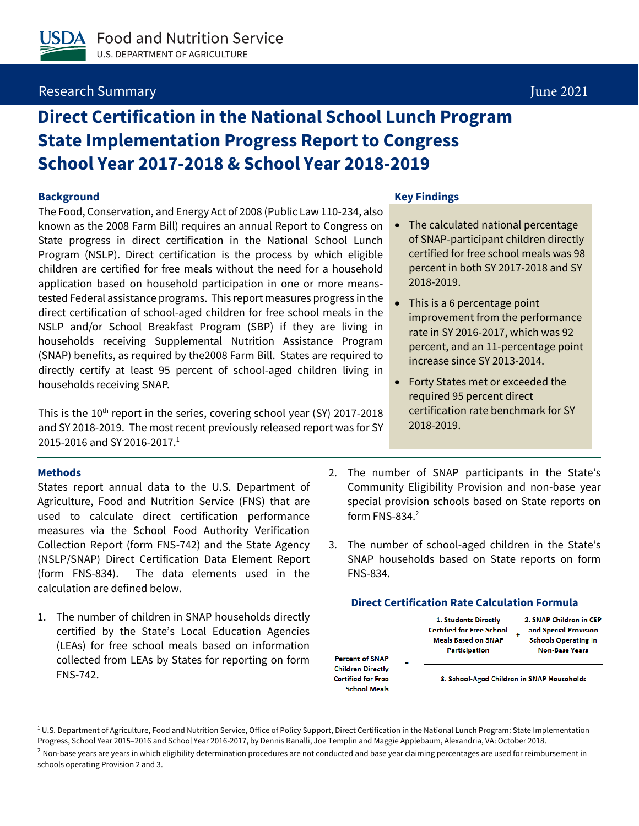# Research Summary June 2021

# **Direct Certification in the National School Lunch Program State Implementation Progress Report to Congress School Year 2017-2018 & School Year 2018-2019**

The Food, Conservation, and Energy Act of 2008 (Public Law 110-234, also known as the 2008 Farm Bill) requires an annual Report to Congress on State progress in direct certification in the National School Lunch Program (NSLP). Direct certification is the process by which eligible children are certified for free meals without the need for a household application based on household participation in one or more meanstested Federal assistance programs. This report measures progress in the direct certification of school-aged children for free school meals in the NSLP and/or School Breakfast Program (SBP) if they are living in households receiving Supplemental Nutrition Assistance Program (SNAP) benefits, as required by the2008 Farm Bill. States are required to directly certify at least 95 percent of school-aged children living in households receiving SNAP.

This is the  $10^{th}$  report in the series, covering school year (SY) 2017-2018 and SY 2018-2019. The most recent previously released report was for SY 2015-2016 and SY 2016-2017. 1

#### **Methods**

States report annual data to the U.S. Department of Agriculture, Food and Nutrition Service (FNS) that are used to calculate direct certification performance measures via the School Food Authority Verification Collection Report (form FNS-742) and the State Agency (NSLP/SNAP) Direct Certification Data Element Report (form FNS-834). The data elements used in the calculation are defined below.

1. The number of children in SNAP households directly certified by the State's Local Education Agencies (LEAs) for free school meals based on information collected from LEAs by States for reporting on form FNS-742.

#### **Background Key Findings**

- The calculated national percentage of SNAP-participant children directly certified for free school meals was 98 percent in both SY 2017-2018 and SY 2018-2019.
- This is a 6 percentage point improvement from the performance rate in SY 2016-2017, which was 92 percent, and an 11-percentage point increase since SY 2013-2014.
- Forty States met or exceeded the required 95 percent direct certification rate benchmark for SY 2018-2019.
- 2. The number of SNAP participants in the State's Community Eligibility Provision and non-base year special provision schools based on State reports on form FNS-834.<sup>2</sup>
- 3. The number of school-aged children in the State's SNAP households based on State reports on form FNS-834.

### **Direct Certification Rate Calculation Formula**

1. Students Directly **Certified for Free School Meals Based on SNAP** Participation

2. SNAP Children in CEP and Special Provision **Schools Operating in Non-Base Years** 

**Percent of SNAP Children Directly Certified for Free School Meals** 

3. School-Aged Children in SNAP Households

 $10.5$ . Department of Agriculture, Food and Nutrition Service, Office of Policy Support, Direct Certification in the National Lunch Program: State Implementation Progress, School Year 2015–2016 and School Year 2016-2017, by Dennis Ranalli, Joe Templin and Maggie Applebaum, Alexandria, VA: October 2018.

 $<sup>2</sup>$  Non-base years are years in which eligibility determination procedures are not conducted and base year claiming percentages are used for reimbursement in</sup> schools operating Provision 2 and 3.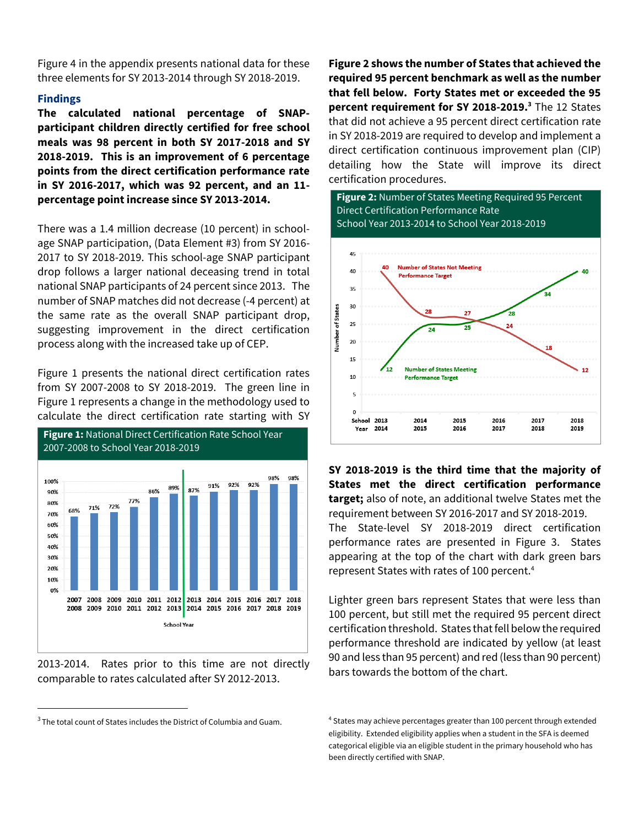Figure 4 in the appendix presents national data for these three elements for SY 2013-2014 through SY 2018-2019.

### **Findings**

**The calculated national percentage of SNAPparticipant children directly certified for free school meals was 98 percent in both SY 2017-2018 and SY 2018-2019. This is an improvement of 6 percentage points from the direct certification performance rate in SY 2016-2017, which was 92 percent, and an 11 percentage point increase since SY 2013-2014.**

There was a 1.4 million decrease (10 percent) in schoolage SNAP participation, (Data Element #3) from SY 2016- 2017 to SY 2018-2019. This school-age SNAP participant drop follows a larger national deceasing trend in total national SNAP participants of 24 percent since 2013. The number of SNAP matches did not decrease (-4 percent) at the same rate as the overall SNAP participant drop, suggesting improvement in the direct certification process along with the increased take up of CEP.

Figure 1 presents the national direct certification rates from SY 2007-2008 to SY 2018-2019. The green line in Figure 1 represents a change in the methodology used to calculate the direct certification rate starting with SY



2013-2014. Rates prior to this time are not directly comparable to rates calculated after SY 2012-2013.

 $3$  The total count of States includes the District of Columbia and Guam.

**Figure 2 shows the number of States that achieved the required 95 percent benchmark as well as the number that fell below. Forty States met or exceeded the 95 percent requirement for SY 2018-2019.<sup>3</sup>** The 12 States that did not achieve a 95 percent direct certification rate in SY 2018-2019 are required to develop and implement a direct certification continuous improvement plan (CIP) detailing how the State will improve its direct certification procedures.

**Figure 2:** Number of States Meeting Required 95 Percent Direct Certification Performance Rate School Year 2013-2014 to School Year 2018-2019



**SY 2018-2019 is the third time that the majority of States met the direct certification performance target;** also of note, an additional twelve States met the requirement between SY 2016-2017 and SY 2018-2019. The State-level SY 2018-2019 direct certification performance rates are presented in Figure 3. States appearing at the top of the chart with dark green bars represent States with rates of 100 percent. 4

Lighter green bars represent States that were less than 100 percent, but still met the required 95 percent direct certification threshold. States that fell below the required performance threshold are indicated by yellow (at least 90 and less than 95 percent) and red (less than 90 percent) bars towards the bottom of the chart.

<sup>4</sup> States may achieve percentages greater than 100 percent through extended eligibility. Extended eligibility applies when a student in the SFA is deemed categorical eligible via an eligible student in the primary household who has been directly certified with SNAP.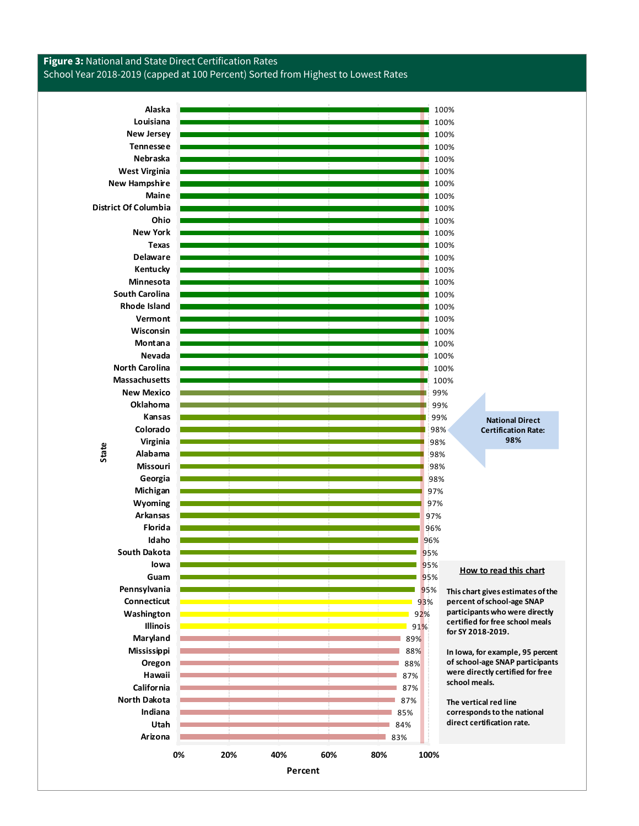

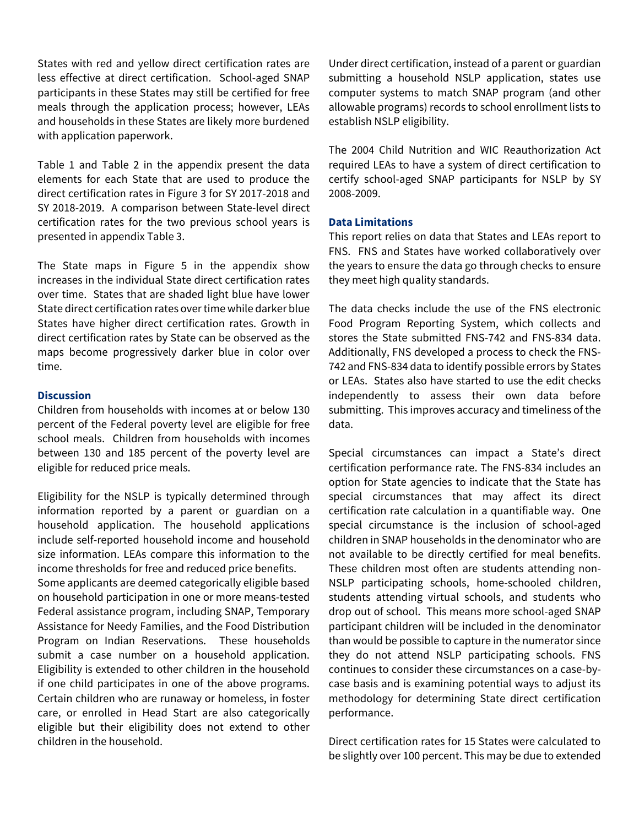States with red and yellow direct certification rates are less effective at direct certification. School-aged SNAP participants in these States may still be certified for free meals through the application process; however, LEAs and households in these States are likely more burdened with application paperwork.

Table 1 and Table 2 in the appendix present the data elements for each State that are used to produce the direct certification rates in Figure 3 for SY 2017-2018 and SY 2018-2019. A comparison between State-level direct certification rates for the two previous school years is presented in appendix Table 3.

The State maps in Figure 5 in the appendix show increases in the individual State direct certification rates over time. States that are shaded light blue have lower State direct certification rates over time while darker blue States have higher direct certification rates. Growth in direct certification rates by State can be observed as the maps become progressively darker blue in color over time.

#### **Discussion**

Children from households with incomes at or below 130 percent of the Federal poverty level are eligible for free school meals. Children from households with incomes between 130 and 185 percent of the poverty level are eligible for reduced price meals.

Eligibility for the NSLP is typically determined through information reported by a parent or guardian on a household application. The household applications include self-reported household income and household size information. LEAs compare this information to the income thresholds for free and reduced price benefits.

Some applicants are deemed categorically eligible based on household participation in one or more means-tested Federal assistance program, including SNAP, Temporary Assistance for Needy Families, and the Food Distribution Program on Indian Reservations. These households submit a case number on a household application. Eligibility is extended to other children in the household if one child participates in one of the above programs. Certain children who are runaway or homeless, in foster care, or enrolled in Head Start are also categorically eligible but their eligibility does not extend to other children in the household.

Under direct certification, instead of a parent or guardian submitting a household NSLP application, states use computer systems to match SNAP program (and other allowable programs) records to school enrollment lists to establish NSLP eligibility.

The 2004 Child Nutrition and WIC Reauthorization Act required LEAs to have a system of direct certification to certify school-aged SNAP participants for NSLP by SY 2008-2009.

#### **Data Limitations**

This report relies on data that States and LEAs report to FNS. FNS and States have worked collaboratively over the years to ensure the data go through checks to ensure they meet high quality standards.

The data checks include the use of the FNS electronic Food Program Reporting System, which collects and stores the State submitted FNS-742 and FNS-834 data. Additionally, FNS developed a process to check the FNS-742 and FNS-834 data to identify possible errors by States or LEAs. States also have started to use the edit checks independently to assess their own data before submitting. This improves accuracy and timeliness of the data.

Special circumstances can impact a State's direct certification performance rate. The FNS-834 includes an option for State agencies to indicate that the State has special circumstances that may affect its direct certification rate calculation in a quantifiable way. One special circumstance is the inclusion of school-aged children in SNAP households in the denominator who are not available to be directly certified for meal benefits. These children most often are students attending non-NSLP participating schools, home-schooled children, students attending virtual schools, and students who drop out of school. This means more school-aged SNAP participant children will be included in the denominator than would be possible to capture in the numerator since they do not attend NSLP participating schools. FNS continues to consider these circumstances on a case-bycase basis and is examining potential ways to adjust its methodology for determining State direct certification performance.

Direct certification rates for 15 States were calculated to be slightly over 100 percent. This may be due to extended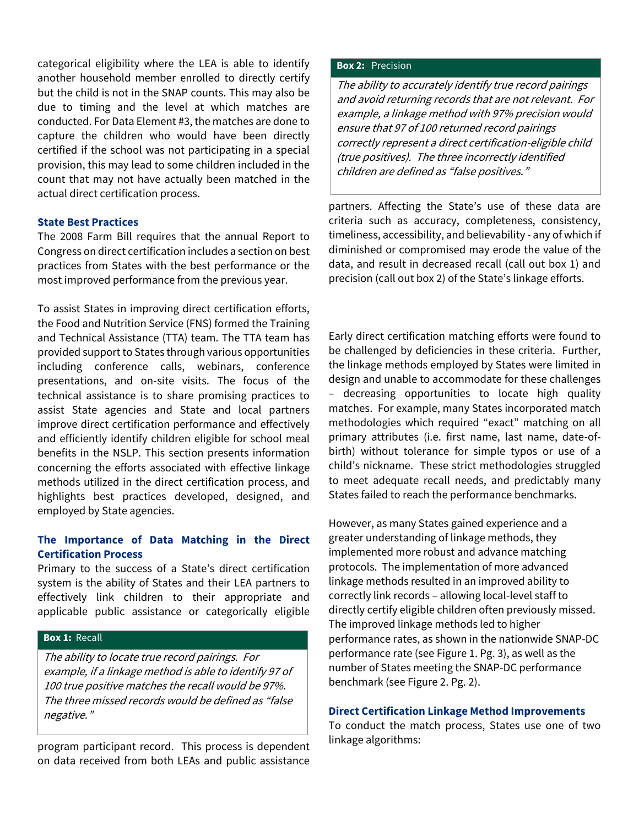categorical eligibility where the LEA is able to identify another household member enrolled to directly certify but the child is not in the SNAP counts. This may also be due to timing and the level at which matches are conducted. For Data Element #3, the matches are done to capture the children who would have been directly certified if the school was not participating in a special provision, this may lead to some children included in the count that may not have actually been matched in the actual direct certification process.

#### **State Best Practices**

The 2008 Farm Bill requires that the annual Report to Congress on direct certification includes a section on best practices from States with the best performance or the most improved performance from the previous year.

To assist States in improving direct certification efforts, the Food and Nutrition Service (FNS) formed the Training and Technical Assistance (TTA) team. The TTA team has provided support to States through various opportunities including conference calls, webinars, conference presentations, and on-site visits. The focus of the technical assistance is to share promising practices to assist State agencies and State and local partners improve direct certification performance and effectively and efficiently identify children eligible for school meal benefits in the NSLP. This section presents information concerning the efforts associated with effective linkage methods utilized in the direct certification process, and highlights best practices developed, designed, and employed by State agencies.

# **The Importance of Data Matching in the Direct Certification Process**

Primary to the success of a State's direct certification system is the ability of States and their LEA partners to effectively link children to their appropriate and applicable public assistance or categorically eligible

# **Box 1:** Recall

The ability to locate true record pairings. For example, if a linkage method is able to identify 97 of 100 true positive matches the recall would be 97%. The three missed records would be defined as "false negative."

program participant record. This process is dependent on data received from both LEAs and public assistance

#### **Box 2:** Precision

The ability to accurately identify true record pairings and avoid returning records that are not relevant. For example, a linkage method with 97% precision would ensure that 97 of 100 returned record pairings correctly represent a direct certification-eligible child (true positives). The three incorrectly identified children are defined as "false positives."

partners. Affecting the State's use of these data are criteria such as accuracy, completeness, consistency, timeliness, accessibility, and believability - any of which if diminished or compromised may erode the value of the data, and result in decreased recall (call out box 1) and precision (call out box 2) of the State's linkage efforts.

Early direct certification matching efforts were found to be challenged by deficiencies in these criteria. Further, the linkage methods employed by States were limited in design and unable to accommodate for these challenges – decreasing opportunities to locate high quality matches. For example, many States incorporated match methodologies which required "exact" matching on all primary attributes (i.e. first name, last name, date-ofbirth) without tolerance for simple typos or use of a child's nickname. These strict methodologies struggled to meet adequate recall needs, and predictably many States failed to reach the performance benchmarks.

However, as many States gained experience and a greater understanding of linkage methods, they implemented more robust and advance matching protocols. The implementation of more advanced linkage methods resulted in an improved ability to correctly link records – allowing local-level staff to directly certify eligible children often previously missed. The improved linkage methods led to higher performance rates, as shown in the nationwide SNAP-DC performance rate (see Figure 1. Pg. 3), as well as the number of States meeting the SNAP-DC performance benchmark (see Figure 2. Pg. 2).

### **Direct Certification Linkage Method Improvements**

To conduct the match process, States use one of two linkage algorithms: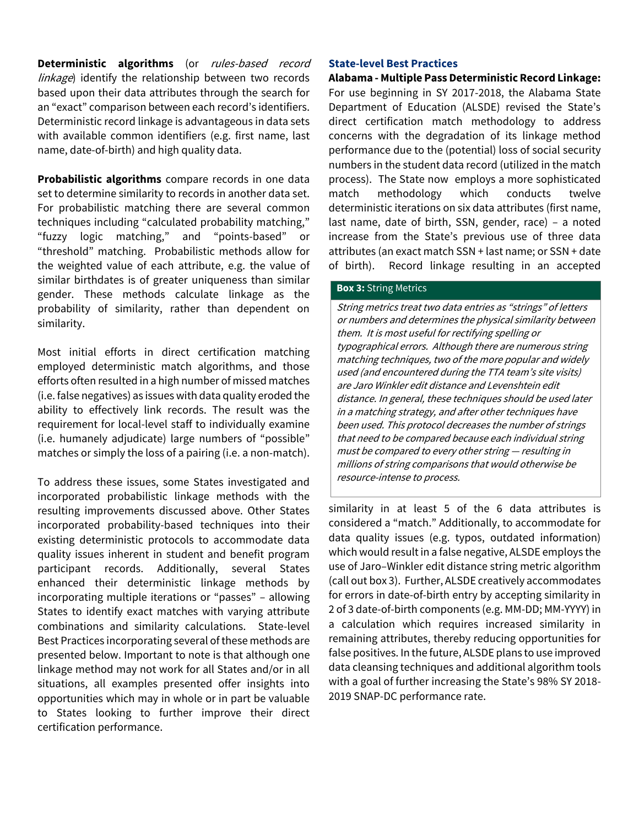**Deterministic algorithms** (or rules-based record linkage) identify the relationship between two records based upon their data attributes through the search for an "exact" comparison between each record's identifiers. Deterministic record linkage is advantageous in data sets with available common identifiers (e.g. first name, last name, date-of-birth) and high quality data.

**Probabilistic algorithms** compare records in one data set to determine similarity to records in another data set. For probabilistic matching there are several common techniques including "calculated probability matching," "fuzzy logic matching," and "points-based" or "threshold" matching. Probabilistic methods allow for the weighted value of each attribute, e.g. the value of similar birthdates is of greater uniqueness than similar gender. These methods calculate linkage as the probability of similarity, rather than dependent on similarity.

Most initial efforts in direct certification matching employed deterministic match algorithms, and those efforts often resulted in a high number of missed matches (i.e. false negatives) as issues with data quality eroded the ability to effectively link records. The result was the requirement for local-level staff to individually examine (i.e. humanely adjudicate) large numbers of "possible" matches or simply the loss of a pairing (i.e. a non-match).

To address these issues, some States investigated and incorporated probabilistic linkage methods with the resulting improvements discussed above. Other States incorporated probability-based techniques into their existing deterministic protocols to accommodate data quality issues inherent in student and benefit program participant records. Additionally, several States enhanced their deterministic linkage methods by incorporating multiple iterations or "passes" – allowing States to identify exact matches with varying attribute combinations and similarity calculations. State-level Best Practices incorporating several of these methods are presented below. Important to note is that although one linkage method may not work for all States and/or in all situations, all examples presented offer insights into opportunities which may in whole or in part be valuable to States looking to further improve their direct certification performance.

#### **State-level Best Practices**

**Alabama - Multiple Pass Deterministic Record Linkage:**  For use beginning in SY 2017-2018, the Alabama State Department of Education (ALSDE) revised the State's direct certification match methodology to address concerns with the degradation of its linkage method performance due to the (potential) loss of social security numbers in the student data record (utilized in the match process). The State now employs a more sophisticated match methodology which conducts twelve deterministic iterations on six data attributes (first name, last name, date of birth, SSN, gender, race) – a noted increase from the State's previous use of three data attributes (an exact match SSN + last name; or SSN + date of birth). Record linkage resulting in an accepted

### **Box 3:** String Metrics

String metrics treat two data entries as "strings" of letters or numbers and determines the physical similarity between them. It is most useful for rectifying spelling or typographical errors. Although there are numerous string matching techniques, two of the more popular and widely used (and encountered during the TTA team's site visits) are Jaro Winkler edit distance and Levenshtein edit distance. In general, these techniques should be used later in a matching strategy, and after other techniques have been used. This protocol decreases the number of strings that need to be compared because each individual string must be compared to every other string — resulting in millions of string comparisons that would otherwise be resource-intense to process.

similarity in at least 5 of the 6 data attributes is considered a "match." Additionally, to accommodate for data quality issues (e.g. typos, outdated information) which would result in a false negative, ALSDE employs the use of Jaro–Winkler edit distance string metric algorithm (call out box 3). Further, ALSDE creatively accommodates for errors in date-of-birth entry by accepting similarity in 2 of 3 date-of-birth components (e.g. MM-DD; MM-YYYY) in a calculation which requires increased similarity in remaining attributes, thereby reducing opportunities for false positives. In the future, ALSDE plans to use improved data cleansing techniques and additional algorithm tools with a goal of further increasing the State's 98% SY 2018- 2019 SNAP-DC performance rate.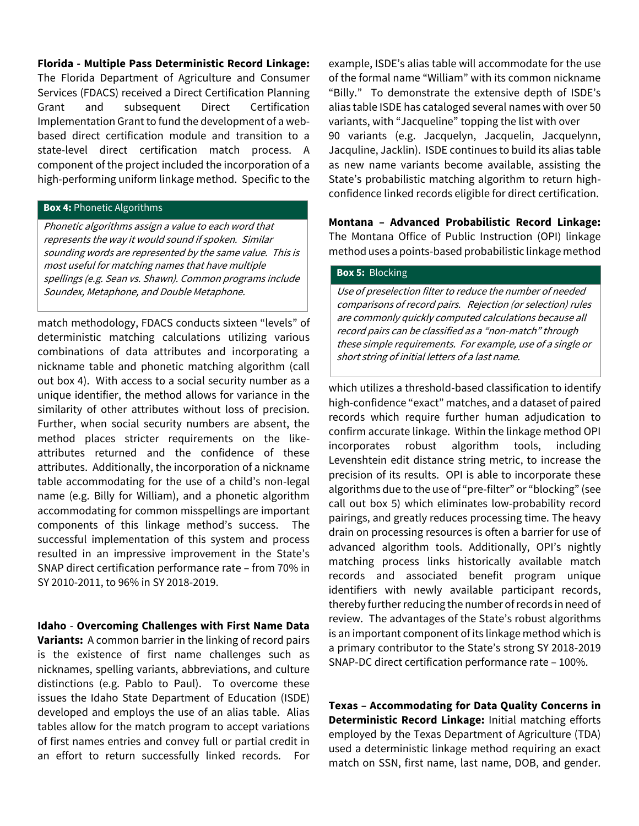**Florida - Multiple Pass Deterministic Record Linkage:** 

The Florida Department of Agriculture and Consumer Services (FDACS) received a Direct Certification Planning Grant and subsequent Direct Certification Implementation Grant to fund the development of a webbased direct certification module and transition to a state-level direct certification match process. A component of the project included the incorporation of a high-performing uniform linkage method. Specific to the

#### **Box 4:** Phonetic Algorithms

Phonetic algorithms assign a value to each word that represents the way it would sound if spoken. Similar sounding words are represented by the same value. This is most useful for matching names that have multiple spellings (e.g. Sean vs. Shawn). Common programs include Soundex, Metaphone, and Double Metaphone.

match methodology, FDACS conducts sixteen "levels" of deterministic matching calculations utilizing various combinations of data attributes and incorporating a nickname table and phonetic matching algorithm (call out box 4). With access to a social security number as a unique identifier, the method allows for variance in the similarity of other attributes without loss of precision. Further, when social security numbers are absent, the method places stricter requirements on the likeattributes returned and the confidence of these attributes. Additionally, the incorporation of a nickname table accommodating for the use of a child's non-legal name (e.g. Billy for William), and a phonetic algorithm accommodating for common misspellings are important components of this linkage method's success. The successful implementation of this system and process resulted in an impressive improvement in the State's SNAP direct certification performance rate – from 70% in SY 2010-2011, to 96% in SY 2018-2019.

**Idaho** - **Overcoming Challenges with First Name Data Variants:** A common barrier in the linking of record pairs is the existence of first name challenges such as nicknames, spelling variants, abbreviations, and culture distinctions (e.g. Pablo to Paul). To overcome these issues the Idaho State Department of Education (ISDE) developed and employs the use of an alias table. Alias tables allow for the match program to accept variations of first names entries and convey full or partial credit in an effort to return successfully linked records. For

example, ISDE's alias table will accommodate for the use of the formal name "William" with its common nickname "Billy." To demonstrate the extensive depth of ISDE's alias table ISDE has cataloged several names with over 50 variants, with "Jacqueline" topping the list with over 90 variants (e.g. Jacquelyn, Jacquelin, Jacquelynn, Jacquline, Jacklin). ISDE continues to build its alias table as new name variants become available, assisting the State's probabilistic matching algorithm to return highconfidence linked records eligible for direct certification.

**Montana – Advanced Probabilistic Record Linkage:**  The Montana Office of Public Instruction (OPI) linkage method uses a points-based probabilistic linkage method

#### **Box 5:** Blocking

Use of preselection filter to reduce the number of needed comparisons of record pairs. Rejection (or selection) rules are commonly quickly computed calculations because all record pairs can be classified as a "non-match" through these simple requirements. For example, use of a single or short string of initial letters of a last name.

which utilizes a threshold-based classification to identify high-confidence "exact" matches, and a dataset of paired records which require further human adjudication to confirm accurate linkage. Within the linkage method OPI incorporates robust algorithm tools, including Levenshtein edit distance string metric, to increase the precision of its results. OPI is able to incorporate these algorithms due to the use of "pre-filter" or "blocking" (see call out box 5) which eliminates low-probability record pairings, and greatly reduces processing time. The heavy drain on processing resources is often a barrier for use of advanced algorithm tools. Additionally, OPI's nightly matching process links historically available match records and associated benefit program unique identifiers with newly available participant records, thereby further reducing the number of records in need of review. The advantages of the State's robust algorithms is an important component of its linkage method which is a primary contributor to the State's strong SY 2018-2019 SNAP-DC direct certification performance rate – 100%.

**Texas – Accommodating for Data Quality Concerns in Deterministic Record Linkage:** Initial matching efforts employed by the Texas Department of Agriculture (TDA) used a deterministic linkage method requiring an exact match on SSN, first name, last name, DOB, and gender.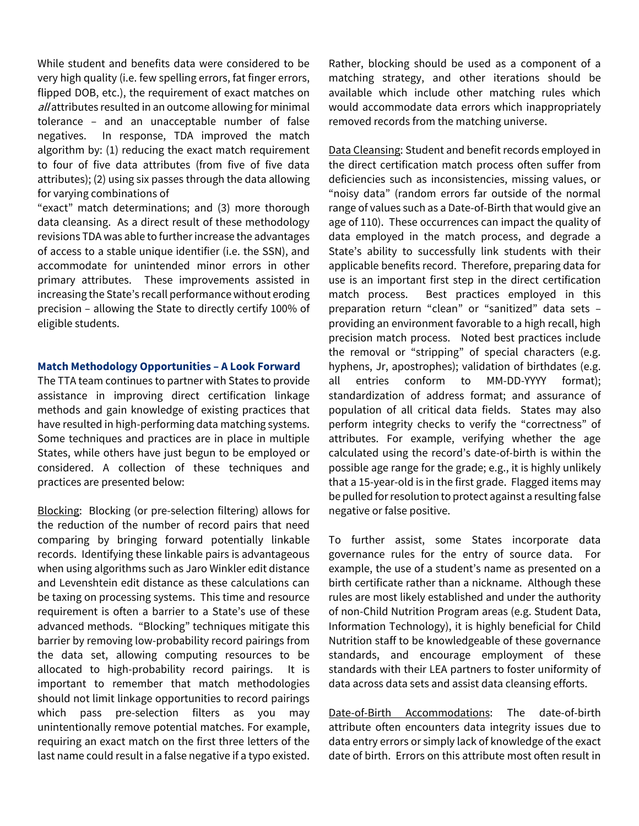While student and benefits data were considered to be very high quality (i.e. few spelling errors, fat finger errors, flipped DOB, etc.), the requirement of exact matches on all attributes resulted in an outcome allowing for minimal tolerance – and an unacceptable number of false negatives. In response, TDA improved the match algorithm by: (1) reducing the exact match requirement to four of five data attributes (from five of five data attributes); (2) using six passes through the data allowing for varying combinations of

"exact" match determinations; and (3) more thorough data cleansing. As a direct result of these methodology revisions TDA was able to further increase the advantages of access to a stable unique identifier (i.e. the SSN), and accommodate for unintended minor errors in other primary attributes. These improvements assisted in increasing the State's recall performance without eroding precision – allowing the State to directly certify 100% of eligible students.

#### **Match Methodology Opportunities – A Look Forward**

The TTA team continues to partner with States to provide assistance in improving direct certification linkage methods and gain knowledge of existing practices that have resulted in high-performing data matching systems. Some techniques and practices are in place in multiple States, while others have just begun to be employed or considered. A collection of these techniques and practices are presented below:

Blocking: Blocking (or pre-selection filtering) allows for the reduction of the number of record pairs that need comparing by bringing forward potentially linkable records. Identifying these linkable pairs is advantageous when using algorithms such as Jaro Winkler edit distance and Levenshtein edit distance as these calculations can be taxing on processing systems. This time and resource requirement is often a barrier to a State's use of these advanced methods. "Blocking" techniques mitigate this barrier by removing low-probability record pairings from the data set, allowing computing resources to be allocated to high-probability record pairings. It is important to remember that match methodologies should not limit linkage opportunities to record pairings which pass pre-selection filters as you may unintentionally remove potential matches. For example, requiring an exact match on the first three letters of the last name could result in a false negative if a typo existed.

Rather, blocking should be used as a component of a matching strategy, and other iterations should be available which include other matching rules which would accommodate data errors which inappropriately removed records from the matching universe.

Data Cleansing: Student and benefit records employed in the direct certification match process often suffer from deficiencies such as inconsistencies, missing values, or "noisy data" (random errors far outside of the normal range of values such as a Date-of-Birth that would give an age of 110). These occurrences can impact the quality of data employed in the match process, and degrade a State's ability to successfully link students with their applicable benefits record. Therefore, preparing data for use is an important first step in the direct certification match process. Best practices employed in this preparation return "clean" or "sanitized" data sets – providing an environment favorable to a high recall, high precision match process. Noted best practices include the removal or "stripping" of special characters (e.g. hyphens, Jr, apostrophes); validation of birthdates (e.g. all entries conform to MM-DD-YYYY format); standardization of address format; and assurance of population of all critical data fields. States may also perform integrity checks to verify the "correctness" of attributes. For example, verifying whether the age calculated using the record's date-of-birth is within the possible age range for the grade; e.g., it is highly unlikely that a 15-year-old is in the first grade. Flagged items may be pulled for resolution to protect against a resulting false negative or false positive.

To further assist, some States incorporate data governance rules for the entry of source data. For example, the use of a student's name as presented on a birth certificate rather than a nickname. Although these rules are most likely established and under the authority of non-Child Nutrition Program areas (e.g. Student Data, Information Technology), it is highly beneficial for Child Nutrition staff to be knowledgeable of these governance standards, and encourage employment of these standards with their LEA partners to foster uniformity of data across data sets and assist data cleansing efforts.

Date-of-Birth Accommodations: The date-of-birth attribute often encounters data integrity issues due to data entry errors or simply lack of knowledge of the exact date of birth. Errors on this attribute most often result in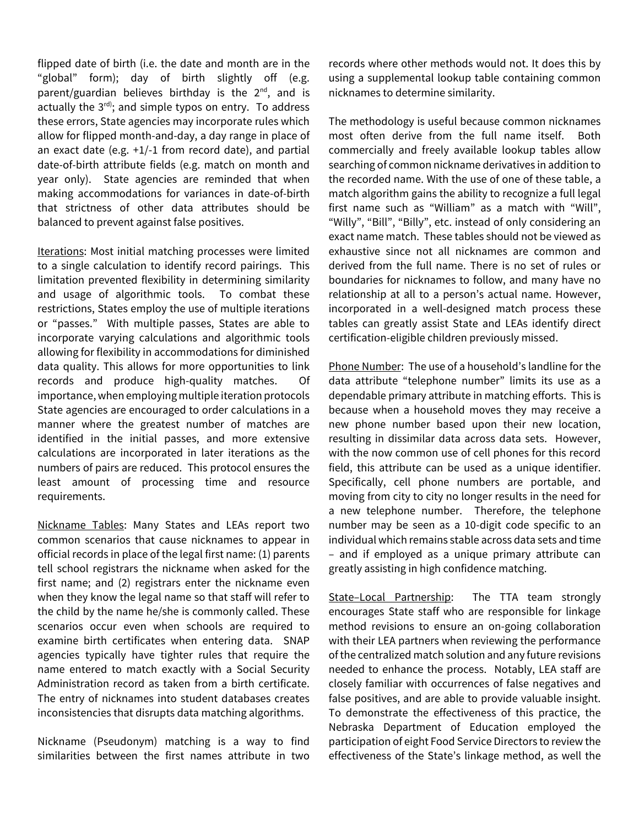flipped date of birth (i.e. the date and month are in the "global" form); day of birth slightly off (e.g. parent/guardian believes birthday is the  $2^{nd}$ , and is actually the  $3^{rd}$ ; and simple typos on entry. To address these errors, State agencies may incorporate rules which allow for flipped month-and-day, a day range in place of an exact date (e.g. +1/-1 from record date), and partial date-of-birth attribute fields (e.g. match on month and year only). State agencies are reminded that when making accommodations for variances in date-of-birth that strictness of other data attributes should be balanced to prevent against false positives.

Iterations: Most initial matching processes were limited to a single calculation to identify record pairings. This limitation prevented flexibility in determining similarity and usage of algorithmic tools. To combat these restrictions, States employ the use of multiple iterations or "passes." With multiple passes, States are able to incorporate varying calculations and algorithmic tools allowing for flexibility in accommodations for diminished data quality. This allows for more opportunities to link records and produce high-quality matches. Of importance, when employing multiple iteration protocols State agencies are encouraged to order calculations in a manner where the greatest number of matches are identified in the initial passes, and more extensive calculations are incorporated in later iterations as the numbers of pairs are reduced. This protocol ensures the least amount of processing time and resource requirements.

Nickname Tables: Many States and LEAs report two common scenarios that cause nicknames to appear in official records in place of the legal first name: (1) parents tell school registrars the nickname when asked for the first name; and (2) registrars enter the nickname even when they know the legal name so that staff will refer to the child by the name he/she is commonly called. These scenarios occur even when schools are required to examine birth certificates when entering data. SNAP agencies typically have tighter rules that require the name entered to match exactly with a Social Security Administration record as taken from a birth certificate. The entry of nicknames into student databases creates inconsistencies that disrupts data matching algorithms.

Nickname (Pseudonym) matching is a way to find similarities between the first names attribute in two

records where other methods would not. It does this by using a supplemental lookup table containing common nicknames to determine similarity.

The methodology is useful because common nicknames most often derive from the full name itself. Both commercially and freely available lookup tables allow searching of common nickname derivatives in addition to the recorded name. With the use of one of these table, a match algorithm gains the ability to recognize a full legal first name such as "William" as a match with "Will", "Willy", "Bill", "Billy", etc. instead of only considering an exact name match. These tables should not be viewed as exhaustive since not all nicknames are common and derived from the full name. There is no set of rules or boundaries for nicknames to follow, and many have no relationship at all to a person's actual name. However, incorporated in a well-designed match process these tables can greatly assist State and LEAs identify direct certification-eligible children previously missed.

Phone Number: The use of a household's landline for the data attribute "telephone number" limits its use as a dependable primary attribute in matching efforts. This is because when a household moves they may receive a new phone number based upon their new location, resulting in dissimilar data across data sets. However, with the now common use of cell phones for this record field, this attribute can be used as a unique identifier. Specifically, cell phone numbers are portable, and moving from city to city no longer results in the need for a new telephone number. Therefore, the telephone number may be seen as a 10-digit code specific to an individual which remains stable across data sets and time – and if employed as a unique primary attribute can greatly assisting in high confidence matching.

State–Local Partnership: The TTA team strongly encourages State staff who are responsible for linkage method revisions to ensure an on-going collaboration with their LEA partners when reviewing the performance of the centralized match solution and any future revisions needed to enhance the process. Notably, LEA staff are closely familiar with occurrences of false negatives and false positives, and are able to provide valuable insight. To demonstrate the effectiveness of this practice, the Nebraska Department of Education employed the participation of eight Food Service Directors to review the effectiveness of the State's linkage method, as well the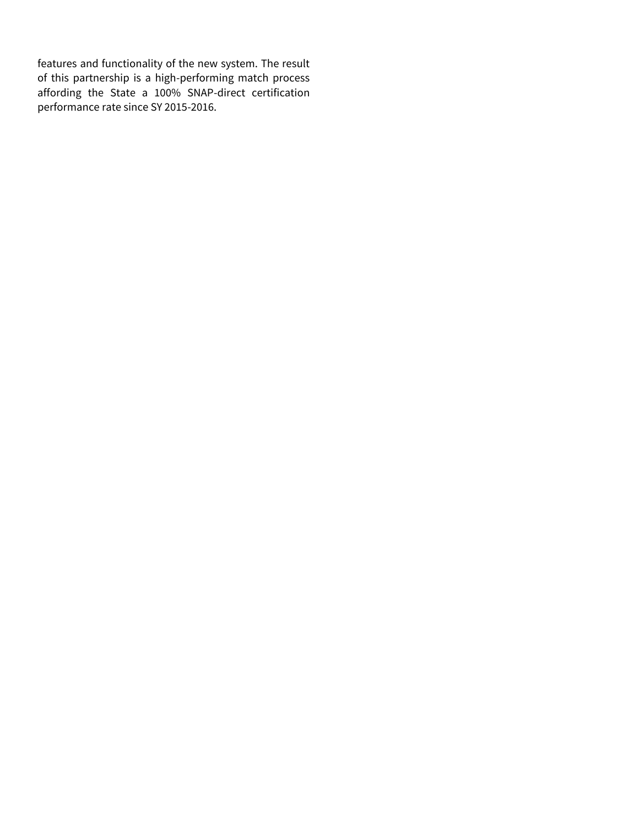features and functionality of the new system. The result of this partnership is a high-performing match process affording the State a 100% SNAP-direct certification performance rate since SY 2015-2016.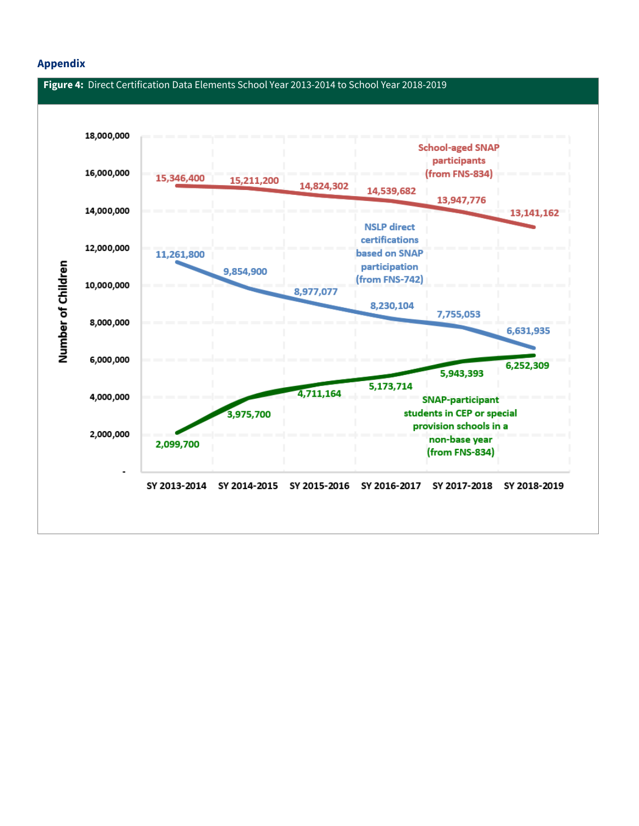## **Appendix**

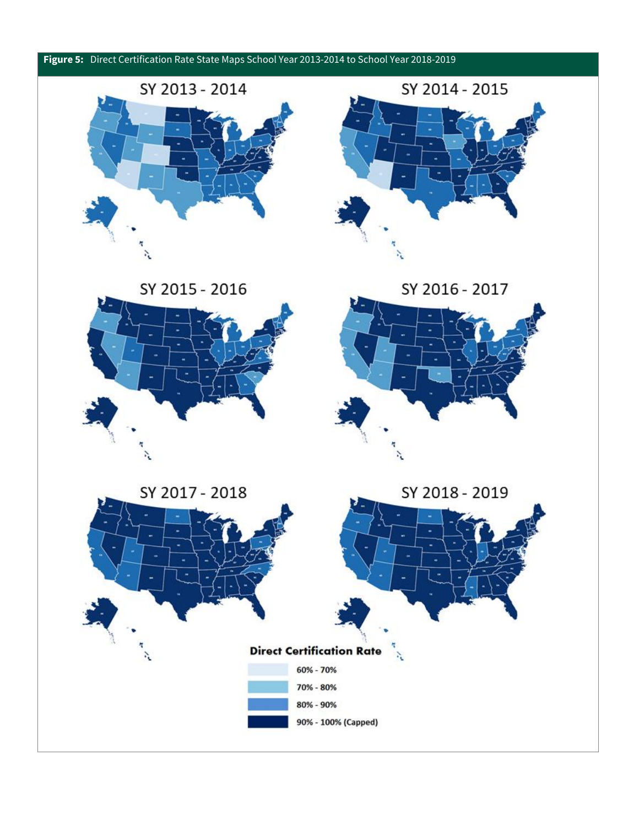





SY 2015 - 2016



SY 2016 - 2017



SY 2018 - 2019

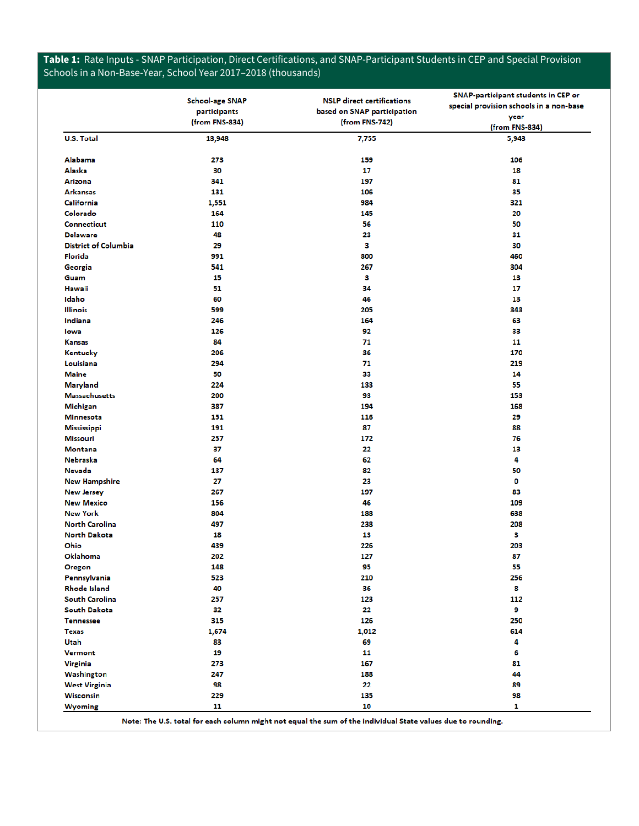# **Table 1:** Rate Inputs - SNAP Participation, Direct Certifications, and SNAP-Participant Students in CEP and Special Provision Schools in a Non-Base-Year, School Year 2017–2018 (thousands)

|                                   |                        |                                   | SNAP-participant students in CEP or     |
|-----------------------------------|------------------------|-----------------------------------|-----------------------------------------|
|                                   | <b>School-age SNAP</b> | <b>NSLP</b> direct certifications | special provision schools in a non-base |
|                                   | participants           | based on SNAP participation       | year                                    |
|                                   | (from FNS-834)         | (from FNS-742)                    | (from FNS-834)                          |
| <b>U.S. Total</b>                 | 13,948                 | 7,755                             | 5,943                                   |
|                                   |                        |                                   |                                         |
| Alabama                           | 273                    | 159                               | 106                                     |
| Alaska                            | 30                     | 17                                | 18                                      |
| <b>Arizona</b><br><b>Arkansas</b> | 341<br>131             | 197                               | 81<br>35                                |
| <b>California</b>                 |                        | 106<br>984                        | 321                                     |
| Colorado                          | 1,551<br>164           | 145                               | 20                                      |
| <b>Connecticut</b>                | 110                    | 56                                | 50                                      |
| <b>Delaware</b>                   | 48                     | 23                                | 31                                      |
| <b>District of Columbia</b>       | 29                     | з                                 | 30                                      |
| Florida                           | 991                    | 800                               | 460                                     |
| Georgia                           | 541                    | 267                               | 304                                     |
| Guam                              | 15                     | з                                 | 13                                      |
| <b>Hawaii</b>                     | 51                     | 34                                | 17                                      |
| Idaho                             | 60                     | 46                                | 13                                      |
| <b>Illinois</b>                   | 599                    | 205                               | 343                                     |
| Indiana                           | 246                    | 164                               | 63                                      |
| lowa                              | 126                    | 92                                | 33                                      |
| <b>Kansas</b>                     | 84                     | 71                                | 11                                      |
| Kentucky                          | 206                    | 36                                | 170                                     |
| Louisiana                         | 294                    | 71                                | 219                                     |
| <b>Maine</b>                      | 50                     | 33                                | 14                                      |
| Maryland                          | 224                    | 133                               | 55                                      |
| <b>Massachusetts</b>              | 200                    | 93                                | 153                                     |
| Michigan                          | 387                    | 194                               | 168                                     |
| <b>Minnesota</b>                  | 151                    | 116                               | 29                                      |
| <b>Mississippi</b>                | 191                    | 87                                | 88                                      |
| <b>Missouri</b>                   | 257                    | 172                               | 76                                      |
| <b>Montana</b>                    | 37                     | 22                                | 13                                      |
| Nebraska                          | 64                     | 62                                | 4                                       |
| Nevada                            | 137                    | 82                                | 50                                      |
| <b>New Hampshire</b>              | 27                     | 23                                | 0                                       |
| <b>New Jersey</b>                 | 267                    | 197                               | 83                                      |
| <b>New Mexico</b>                 | 156                    | 46                                | 109                                     |
| <b>New York</b>                   | 804                    | 188                               | 638                                     |
| <b>North Carolina</b>             | 497                    | 238                               | 208                                     |
| <b>North Dakota</b>               | 18                     | 13                                | з                                       |
| Ohio                              | 439                    | 226                               | 203                                     |
| Oklahoma                          | 202                    | 127                               | 87                                      |
| Oregon                            | 148                    | 95                                | 55                                      |
| Pennsylvania                      | 523                    | 210                               | 256                                     |
| <b>Rhode Island</b>               | 40                     | 36                                | 8                                       |
| <b>South Carolina</b>             | 257                    | 123                               | 112                                     |
| South Dakota                      | 32                     | 22                                | 9                                       |
| <b>Tennessee</b>                  | 315                    | 126                               | 250                                     |
| <b>Texas</b>                      | 1,674                  | 1,012                             | 614                                     |
| Utah                              | 83                     | 69                                | 4                                       |
| <b>Vermont</b>                    | 19                     | 11                                | 6                                       |
| <b>Virginia</b>                   | 273                    | 167                               | 81                                      |
| Washington                        | 247                    | 188                               | 44                                      |
| <b>West Virginia</b><br>Wisconsin | 98<br>229              | 22<br>135                         | 89<br>98                                |
|                                   |                        | 10                                |                                         |
| <b>Wyoming</b>                    | 11                     |                                   | 1                                       |

Note: The U.S. total for each column might not equal the sum of the individual State values due to rounding.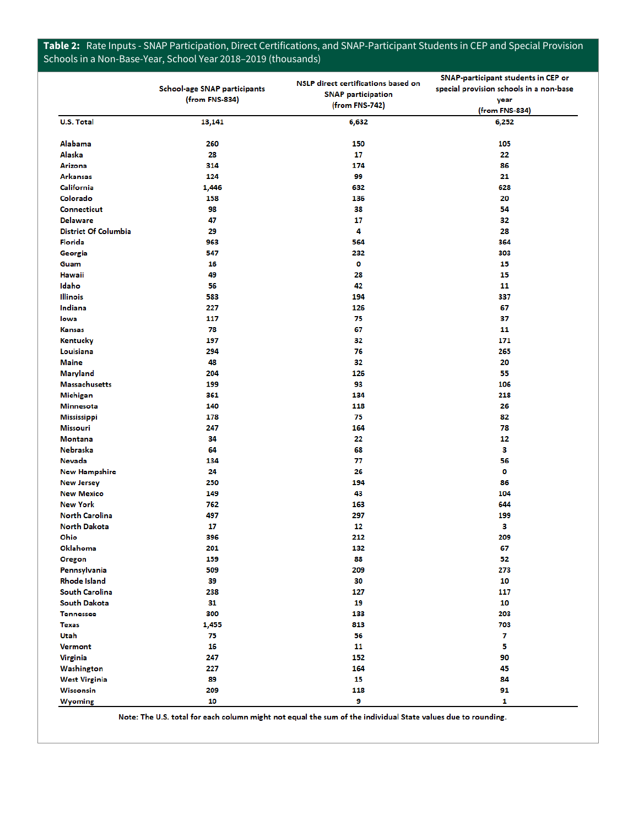# **Table 2:** Rate Inputs - SNAP Participation, Direct Certifications, and SNAP-Participant Students in CEP and Special Provision Schools in a Non-Base-Year, School Year 2018–2019 (thousands)

|                             | School-age SNAP participants<br>(from FNS-834) | NSLP direct certifications based on<br><b>SNAP participation</b><br>(from FNS-742) | SNAP-participant students in CEP or<br>special provision schools in a non-base<br>year<br>(from FNS-834) |
|-----------------------------|------------------------------------------------|------------------------------------------------------------------------------------|----------------------------------------------------------------------------------------------------------|
| <b>U.S. Total</b>           | 13,141                                         | 6,632                                                                              | 6,252                                                                                                    |
| Alabama                     | 260                                            | 150                                                                                | 105                                                                                                      |
| Alaska                      | 28                                             | 17                                                                                 | 22                                                                                                       |
| Arizona                     | 314                                            | 174                                                                                | 86                                                                                                       |
| <b>Arkansas</b>             | 124                                            | 99                                                                                 | 21                                                                                                       |
| California                  | 1,446                                          | 632                                                                                | 628                                                                                                      |
| Colorado                    | 158                                            | 136                                                                                | 20                                                                                                       |
| <b>Connecticut</b>          | 98                                             | 38                                                                                 | 54                                                                                                       |
| <b>Delaware</b>             | 47                                             | 17                                                                                 | 32                                                                                                       |
| <b>District Of Columbia</b> | 29                                             | 4                                                                                  | 28                                                                                                       |
| Florida                     | 963                                            | 564                                                                                | 364                                                                                                      |
| Georgia                     | 547                                            | 232                                                                                | 303                                                                                                      |
| Guam                        | 16                                             | 0                                                                                  | 15                                                                                                       |
| Hawaii                      | 49                                             | 28                                                                                 | 15                                                                                                       |
| Idaho                       | 56                                             | 42                                                                                 | 11                                                                                                       |
| <b>Illinois</b>             | 583                                            | 194                                                                                | 337                                                                                                      |
| Indiana                     | 227                                            | 126                                                                                | 67                                                                                                       |
| lowa                        | 117                                            | 75                                                                                 | 37                                                                                                       |
| <b>Kansas</b>               | 78                                             | 67                                                                                 | 11                                                                                                       |
| Kentucky                    | 197                                            | 32                                                                                 | 171                                                                                                      |
| Louisiana                   | 294                                            | 76                                                                                 | 265                                                                                                      |
| <b>Maine</b>                | 48                                             | 32                                                                                 | 20                                                                                                       |
| <b>Maryland</b>             | 204                                            | 126                                                                                | 55                                                                                                       |
| <b>Massachusetts</b>        | 199                                            | 93                                                                                 | 106                                                                                                      |
| <b>Michigan</b>             | 361                                            | 134                                                                                | 218                                                                                                      |
| <b>Minnesota</b>            | 140                                            | 118                                                                                | 26                                                                                                       |
| <b>Mississippi</b>          | 178                                            | 75                                                                                 | 82                                                                                                       |
| Missouri                    | 247                                            | 164                                                                                | 78                                                                                                       |
| <b>Montana</b>              | 34                                             | 22                                                                                 | 12                                                                                                       |
| <b>Nebraska</b>             | 64                                             | 68                                                                                 | з                                                                                                        |
| Nevada                      | 134                                            | 77                                                                                 | 56                                                                                                       |
| <b>New Hampshire</b>        | 24                                             | 26                                                                                 | 0                                                                                                        |
| <b>New Jersey</b>           | 250                                            | 194                                                                                | 86                                                                                                       |
| <b>New Mexico</b>           | 149                                            | 43                                                                                 | 104                                                                                                      |
| <b>New York</b>             | 762                                            | 163                                                                                | 644                                                                                                      |
| <b>North Carolina</b>       | 497                                            | 297                                                                                | 199                                                                                                      |
| <b>North Dakota</b>         | 17                                             | 12                                                                                 | з                                                                                                        |
| Ohio                        | 396                                            | 212                                                                                | 209                                                                                                      |
| Oklahoma                    | 201                                            | 132                                                                                | 67                                                                                                       |
| <b>Oregon</b>               | 159                                            | 88                                                                                 | 52                                                                                                       |
| Pennsylvania                | 509                                            | 209                                                                                | 273                                                                                                      |
| <b>Rhode Island</b>         | 39                                             | 30                                                                                 | 10                                                                                                       |
| South Carolina              | 238                                            | 127                                                                                | 117                                                                                                      |
| <b>South Dakota</b>         | 31                                             | 19                                                                                 | 10                                                                                                       |
| <b>Tennessee</b>            | 300                                            | 133                                                                                | 203                                                                                                      |
| <b>Texas</b>                | 1,455                                          | 813                                                                                | 703                                                                                                      |
| Utah                        | 75                                             | 56                                                                                 | $\mathbf{7}$                                                                                             |
| <b>Vermont</b>              | 16                                             | 11                                                                                 | 5                                                                                                        |
| <b>Virginia</b>             | 247                                            | 152                                                                                | 90                                                                                                       |
| Washington                  | 227                                            | 164                                                                                | 45                                                                                                       |
| <b>West Virginia</b>        | 89                                             | 15                                                                                 | 84                                                                                                       |
| <b>Wisconsin</b>            | 209                                            | 118                                                                                | 91                                                                                                       |
| <b>Wyoming</b>              | 10                                             | 9                                                                                  | 1                                                                                                        |

Note: The U.S. total for each column might not equal the sum of the individual State values due to rounding.